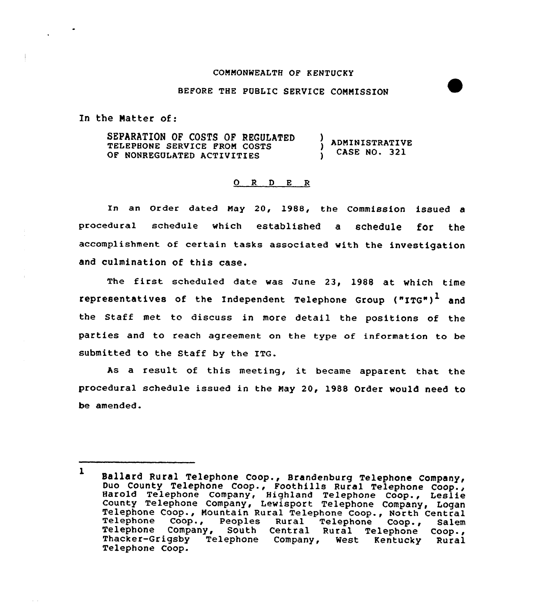### CONNONWEALTH OF KENTUCKY

## BEFORE THE PUBLIC SERVICE COMMISSION

In the Matter of:

SEPARATION OF COSTS OF REGULATED ADNINISTRATIVE TELEPHONE SERVICE PRON COSTS CASE NO. 321 OF NONREGULATED ACTIVITIES  $\lambda$ 

#### 0 R <sup>D</sup> E <sup>R</sup>

In an Order dated May 20, 1988, the Commission issued a procedural schedule which established a schedule for the accomplishment of certain tasks associated with the investigation and culmination of this case.

The first scheduled date was June 23, 1988 at which time representatives of the Independent Telephone Group  $("ITG")^{\perp}$  and the Staff met to discuss in more detail the positions of the parties and to reach agreement on the type of information to be submitted to the Staff by the ITG.

As <sup>a</sup> result of this meeting, it became apparent that the procedural schedule issued in the Nay 20, 1988 Order would need to be amended.

<sup>l</sup> Ballard Rural Telephone Coop., Brandenburg Telephone Company, Duo County Telephone Coop., Foothills Rural Telephone Coop., Harold Telephone Company, Highland Telephone Coop., Leslie County Telephone Company, Lewisport Telephone Company, Logar<br>Telephone Coop., Mountain Rural Telephone Coop., North Central<br>Telephone Coop., Peoples Rural Telephone Coop., Salem<br>Telephone Company, South Central Rural Telep Thacker-Grigsby Telephone Company, West Kentucky Rural<br>Telephone Coop.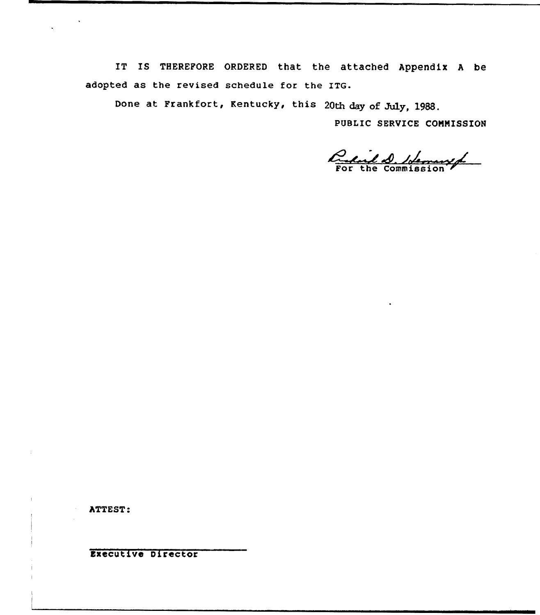IT IS THEREFORE ORDERED that the attached Appendix <sup>A</sup> be adopted as the revised schedule for the ITG.

Done at Frankfort, Kentucky, this 20th day of July, 1988.

PUBLIC SERUICE CONNISSION

Quil 1 blemwerf

ATTEST:

Executive Director